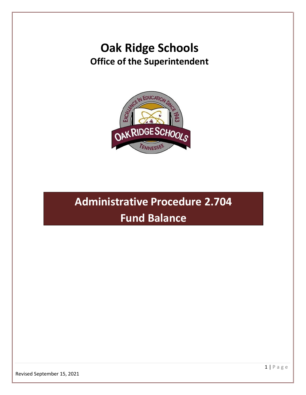## **Oak Ridge Schools Office of the Superintendent**



# **Administrative Procedure 2.704 Fund Balance**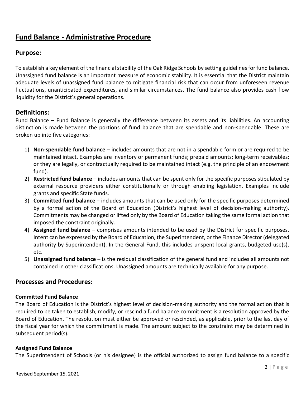### **Fund Balance - Administrative Procedure**

#### **Purpose:**

To establish a key element of the financial stability of the Oak Ridge Schools by setting guidelines for fund balance. Unassigned fund balance is an important measure of economic stability. It is essential that the District maintain adequate levels of unassigned fund balance to mitigate financial risk that can occur from unforeseen revenue fluctuations, unanticipated expenditures, and similar circumstances. The fund balance also provides cash flow liquidity for the District's general operations.

#### **Definitions:**

Fund Balance – Fund Balance is generally the difference between its assets and its liabilities. An accounting distinction is made between the portions of fund balance that are spendable and non-spendable. These are broken up into five categories:

- 1) **Non-spendable fund balance** includes amounts that are not in a spendable form or are required to be maintained intact. Examples are inventory or permanent funds; prepaid amounts; long-term receivables; or they are legally, or contractually required to be maintained intact (e.g. the principle of an endowment fund).
- 2) **Restricted fund balance** includes amounts that can be spent only for the specific purposes stipulated by external resource providers either constitutionally or through enabling legislation. Examples include grants and specific State funds.
- 3) **Committed fund balance** includes amounts that can be used only for the specific purposes determined by a formal action of the Board of Education (District's highest level of decision-making authority). Commitments may be changed or lifted only by the Board of Education taking the same formal action that imposed the constraint originally.
- 4) **Assigned fund balance** comprises amounts intended to be used by the District for specific purposes. Intent can be expressed by the Board of Education, the Superintendent, or the Finance Director (delegated authority by Superintendent). In the General Fund, this includes unspent local grants, budgeted use(s), etc.
- 5) **Unassigned fund balance** is the residual classification of the general fund and includes all amounts not contained in other classifications. Unassigned amounts are technically available for any purpose.

#### **Processes and Procedures:**

#### **Committed Fund Balance**

The Board of Education is the District's highest level of decision-making authority and the formal action that is required to be taken to establish, modify, or rescind a fund balance commitment is a resolution approved by the Board of Education. The resolution must either be approved or rescinded, as applicable, prior to the last day of the fiscal year for which the commitment is made. The amount subject to the constraint may be determined in subsequent period(s).

#### **Assigned Fund Balance**

The Superintendent of Schools (or his designee) is the official authorized to assign fund balance to a specific